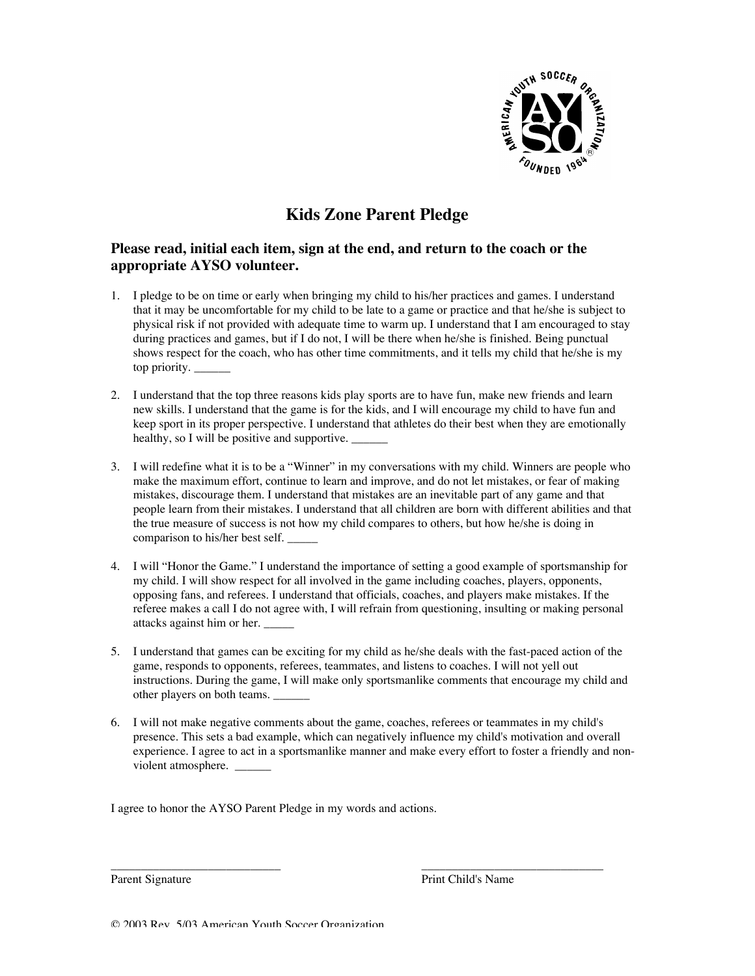

# **Kids Zone Parent Pledge**

# **Please read, initial each item, sign at the end, and return to the coach or the appropriate AYSO volunteer.**

- 1. I pledge to be on time or early when bringing my child to his/her practices and games. I understand that it may be uncomfortable for my child to be late to a game or practice and that he/she is subject to physical risk if not provided with adequate time to warm up. I understand that I am encouraged to stay during practices and games, but if I do not, I will be there when he/she is finished. Being punctual shows respect for the coach, who has other time commitments, and it tells my child that he/she is my top priority.
- 2. I understand that the top three reasons kids play sports are to have fun, make new friends and learn new skills. I understand that the game is for the kids, and I will encourage my child to have fun and keep sport in its proper perspective. I understand that athletes do their best when they are emotionally healthy, so I will be positive and supportive.
- 3. I will redefine what it is to be a "Winner" in my conversations with my child. Winners are people who make the maximum effort, continue to learn and improve, and do not let mistakes, or fear of making mistakes, discourage them. I understand that mistakes are an inevitable part of any game and that people learn from their mistakes. I understand that all children are born with different abilities and that the true measure of success is not how my child compares to others, but how he/she is doing in comparison to his/her best self. \_\_\_\_\_
- 4. I will "Honor the Game." I understand the importance of setting a good example of sportsmanship for my child. I will show respect for all involved in the game including coaches, players, opponents, opposing fans, and referees. I understand that officials, coaches, and players make mistakes. If the referee makes a call I do not agree with, I will refrain from questioning, insulting or making personal attacks against him or her. \_\_\_\_\_
- 5. I understand that games can be exciting for my child as he/she deals with the fast-paced action of the game, responds to opponents, referees, teammates, and listens to coaches. I will not yell out instructions. During the game, I will make only sportsmanlike comments that encourage my child and other players on both teams.
- 6. I will not make negative comments about the game, coaches, referees or teammates in my child's presence. This sets a bad example, which can negatively influence my child's motivation and overall experience. I agree to act in a sportsmanlike manner and make every effort to foster a friendly and nonviolent atmosphere. \_

\_\_\_\_\_\_\_\_\_\_\_\_\_\_\_\_\_\_\_\_\_\_\_\_\_\_\_\_ \_\_\_\_\_\_\_\_\_\_\_\_\_\_\_\_\_\_\_\_\_\_\_\_\_\_\_\_\_\_

I agree to honor the AYSO Parent Pledge in my words and actions.

Parent Signature **Prince Access** Print Child's Name